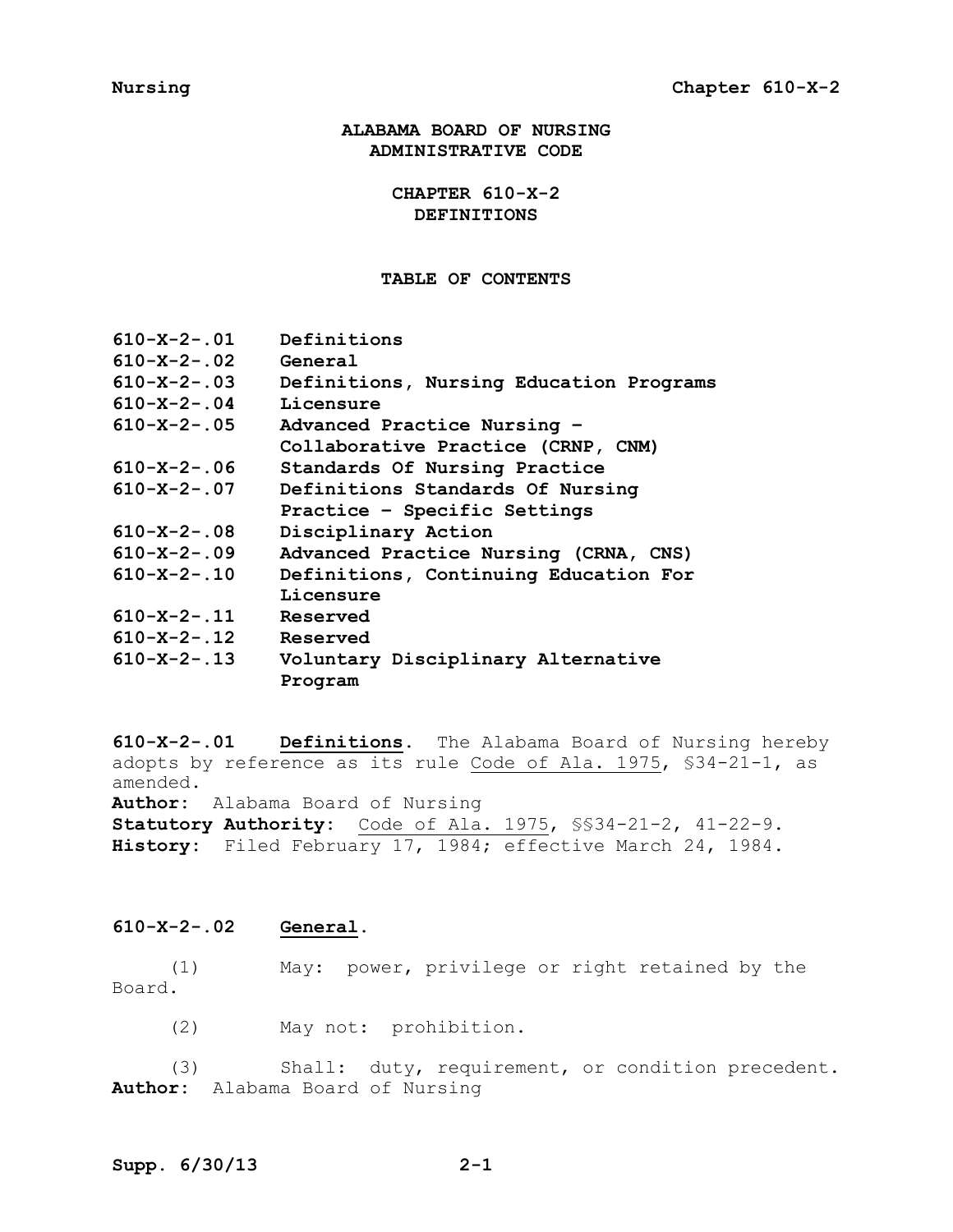**ALABAMA BOARD OF NURSING ADMINISTRATIVE CODE**

> **CHAPTER 610-X-2 DEFINITIONS**

### **TABLE OF CONTENTS**

| $610 - X - 2 - 01$  | Definitions                             |
|---------------------|-----------------------------------------|
| $610 - X - 2 - .02$ | General                                 |
| $610 - X - 2 - .03$ | Definitions, Nursing Education Programs |
| $610 - X - 2 - .04$ | Licensure                               |
| $610 - X - 2 - .05$ | Advanced Practice Nursing -             |
|                     | Collaborative Practice (CRNP, CNM)      |
| $610 - X - 2 - .06$ | Standards Of Nursing Practice           |
| $610 - X - 2 - .07$ | Definitions Standards Of Nursing        |
|                     | Practice - Specific Settings            |
| $610 - X - 2 - .08$ | Disciplinary Action                     |
| $610 - X - 2 - 09$  | Advanced Practice Nursing (CRNA, CNS)   |
| $610 - X - 2 - 10$  | Definitions, Continuing Education For   |
|                     | Licensure                               |
| $610 - X - 2 - 11$  | Reserved                                |
| $610 - X - 2 - 12$  | Reserved                                |
| $610 - X - 2 - 13$  | Voluntary Disciplinary Alternative      |
|                     | Program                                 |

**610-X-2-.01 Definitions.** The Alabama Board of Nursing hereby adopts by reference as its rule Code of Ala. 1975, §34-21-1, as amended. **Author:** Alabama Board of Nursing

**Statutory Authority:** Code of Ala. 1975, §§34-21-2, 41-22-9. **History:** Filed February 17, 1984; effective March 24, 1984.

**610-X-2-.02 General.**

(1) May: power, privilege or right retained by the Board.

(2) May not: prohibition.

(3) Shall: duty, requirement, or condition precedent. **Author:** Alabama Board of Nursing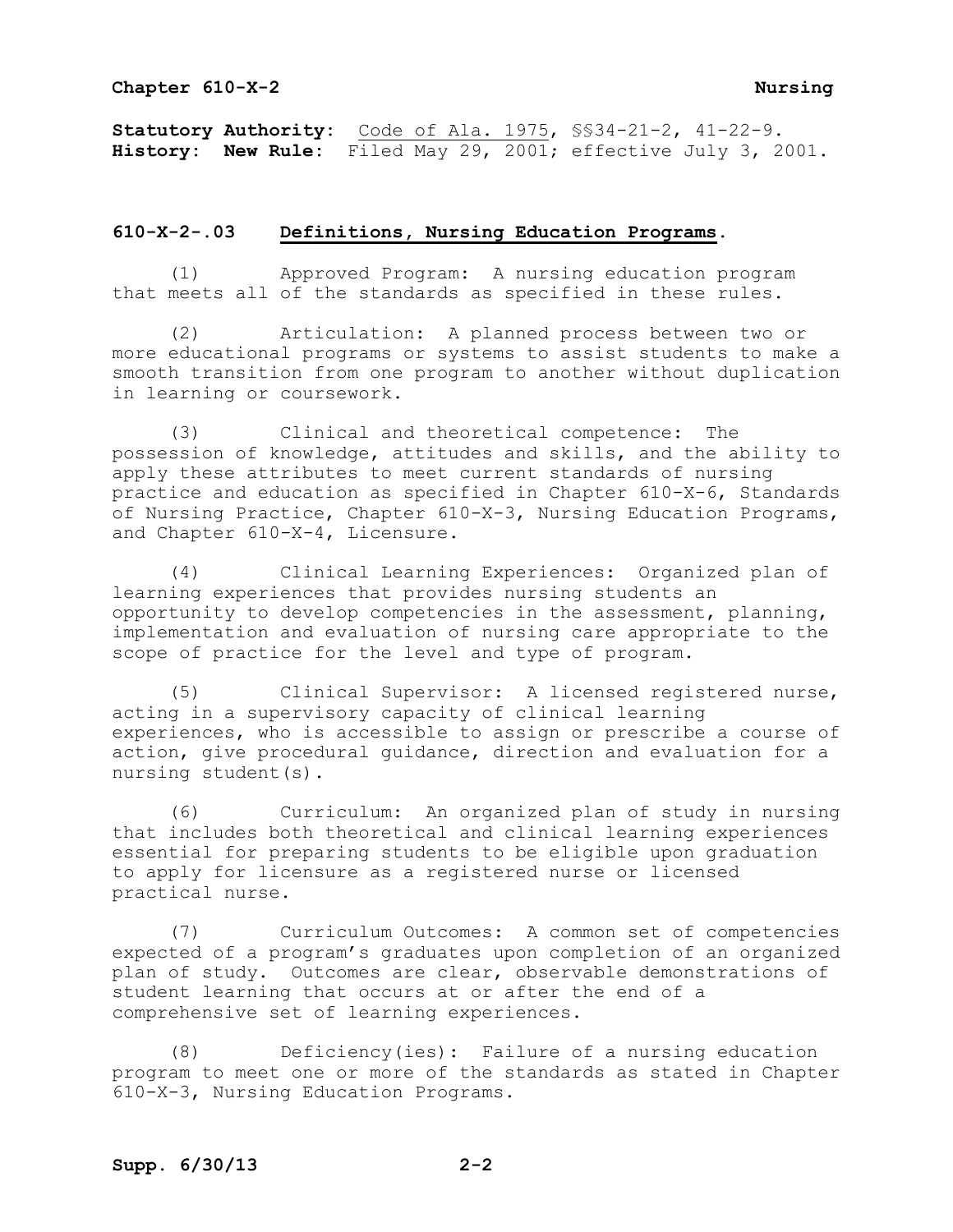**Statutory Authority:** Code of Ala. 1975, §§34-21-2, 41-22-9. **History: New Rule:** Filed May 29, 2001; effective July 3, 2001.

## **610-X-2-.03 Definitions, Nursing Education Programs.**

(1) Approved Program: A nursing education program that meets all of the standards as specified in these rules.

(2) Articulation: A planned process between two or more educational programs or systems to assist students to make a smooth transition from one program to another without duplication in learning or coursework.

(3) Clinical and theoretical competence: The possession of knowledge, attitudes and skills, and the ability to apply these attributes to meet current standards of nursing practice and education as specified in Chapter 610-X-6, Standards of Nursing Practice, Chapter 610-X-3, Nursing Education Programs, and Chapter 610-X-4, Licensure.

(4) Clinical Learning Experiences: Organized plan of learning experiences that provides nursing students an opportunity to develop competencies in the assessment, planning, implementation and evaluation of nursing care appropriate to the scope of practice for the level and type of program.

(5) Clinical Supervisor: A licensed registered nurse, acting in a supervisory capacity of clinical learning experiences, who is accessible to assign or prescribe a course of action, give procedural guidance, direction and evaluation for a nursing student(s).

(6) Curriculum: An organized plan of study in nursing that includes both theoretical and clinical learning experiences essential for preparing students to be eligible upon graduation to apply for licensure as a registered nurse or licensed practical nurse.

(7) Curriculum Outcomes: A common set of competencies expected of a program's graduates upon completion of an organized plan of study. Outcomes are clear, observable demonstrations of student learning that occurs at or after the end of a comprehensive set of learning experiences.

(8) Deficiency(ies): Failure of a nursing education program to meet one or more of the standards as stated in Chapter 610-X-3, Nursing Education Programs.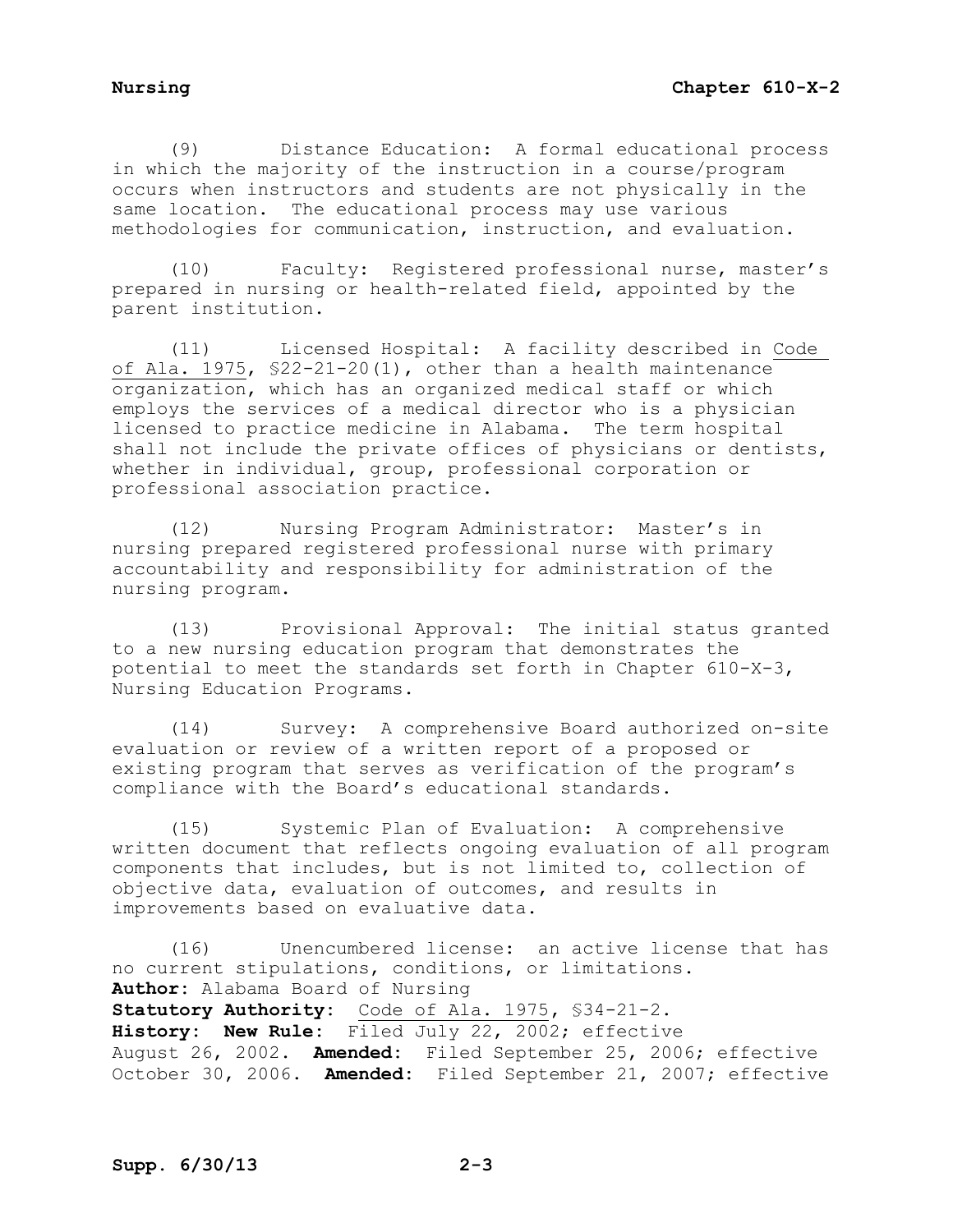(9) Distance Education: A formal educational process in which the majority of the instruction in a course/program occurs when instructors and students are not physically in the same location. The educational process may use various methodologies for communication, instruction, and evaluation.

(10) Faculty: Registered professional nurse, master's prepared in nursing or health-related field, appointed by the parent institution.

(11) Licensed Hospital: A facility described in Code of Ala. 1975, §22-21-20(1), other than a health maintenance organization, which has an organized medical staff or which employs the services of a medical director who is a physician licensed to practice medicine in Alabama. The term hospital shall not include the private offices of physicians or dentists, whether in individual, group, professional corporation or professional association practice.

(12) Nursing Program Administrator: Master's in nursing prepared registered professional nurse with primary accountability and responsibility for administration of the nursing program.

(13) Provisional Approval: The initial status granted to a new nursing education program that demonstrates the potential to meet the standards set forth in Chapter 610-X-3, Nursing Education Programs.

(14) Survey: A comprehensive Board authorized on-site evaluation or review of a written report of a proposed or existing program that serves as verification of the program's compliance with the Board's educational standards.

(15) Systemic Plan of Evaluation: A comprehensive written document that reflects ongoing evaluation of all program components that includes, but is not limited to, collection of objective data, evaluation of outcomes, and results in improvements based on evaluative data.

(16) Unencumbered license: an active license that has no current stipulations, conditions, or limitations. **Author:** Alabama Board of Nursing **Statutory Authority:** Code of Ala. 1975**,** §34-21-2. **History: New Rule:** Filed July 22, 2002; effective August 26, 2002. **Amended:** Filed September 25, 2006; effective October 30, 2006. **Amended:** Filed September 21, 2007; effective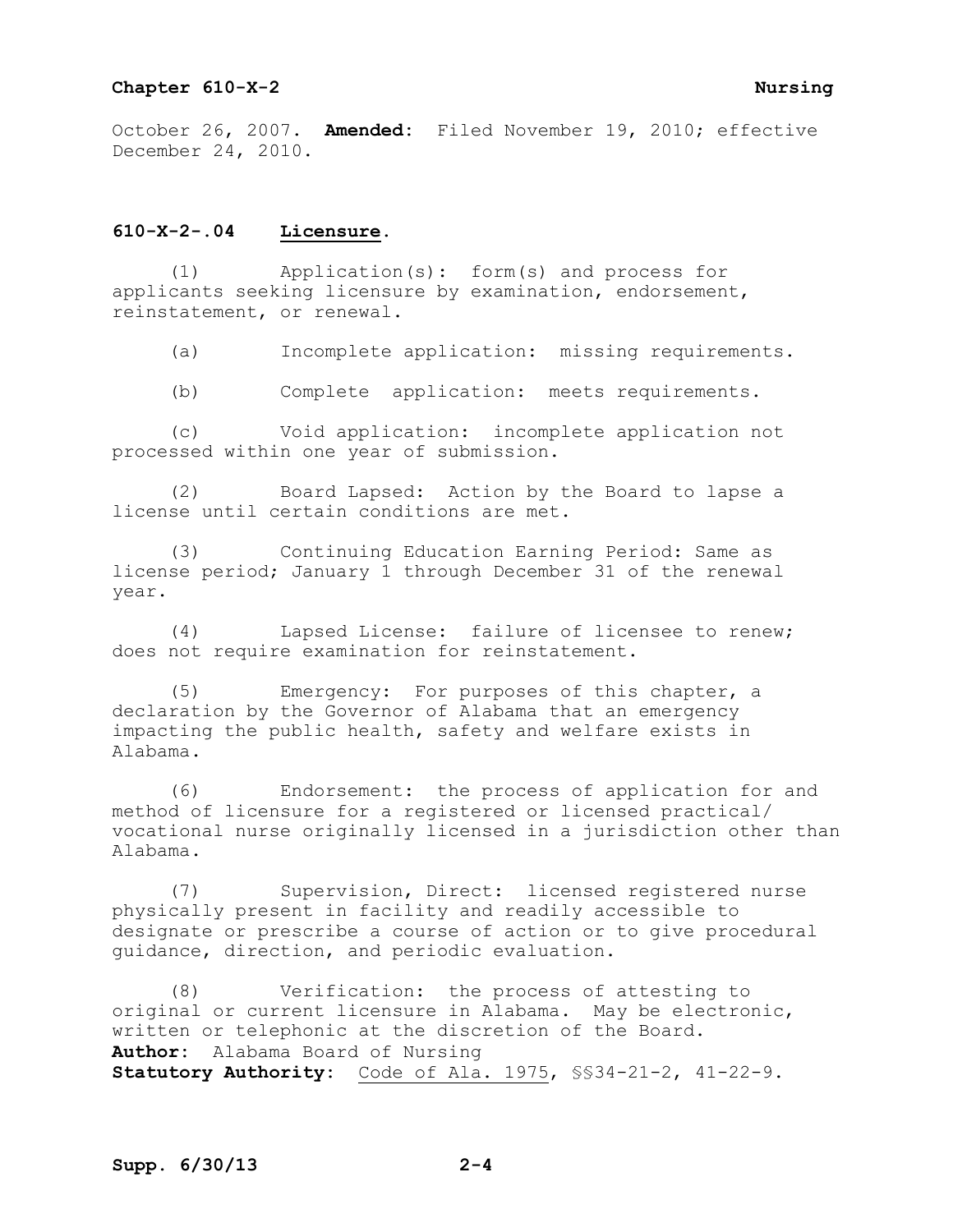October 26, 2007. **Amended:** Filed November 19, 2010; effective December 24, 2010.

## **610-X-2-.04 Licensure.**

(1) Application(s): form(s) and process for applicants seeking licensure by examination, endorsement, reinstatement, or renewal.

(a) Incomplete application: missing requirements.

(b) Complete application: meets requirements.

(c) Void application: incomplete application not processed within one year of submission.

(2) Board Lapsed: Action by the Board to lapse a license until certain conditions are met.

(3) Continuing Education Earning Period: Same as license period; January 1 through December 31 of the renewal year.

(4) Lapsed License: failure of licensee to renew; does not require examination for reinstatement.

(5) Emergency: For purposes of this chapter, a declaration by the Governor of Alabama that an emergency impacting the public health, safety and welfare exists in Alabama.

(6) Endorsement: the process of application for and method of licensure for a registered or licensed practical/ vocational nurse originally licensed in a jurisdiction other than Alabama.

(7) Supervision, Direct: licensed registered nurse physically present in facility and readily accessible to designate or prescribe a course of action or to give procedural guidance, direction, and periodic evaluation.

(8) Verification: the process of attesting to original or current licensure in Alabama. May be electronic, written or telephonic at the discretion of the Board. **Author:** Alabama Board of Nursing **Statutory Authority:** Code of Ala. 1975, §§34-21-2, 41-22-9.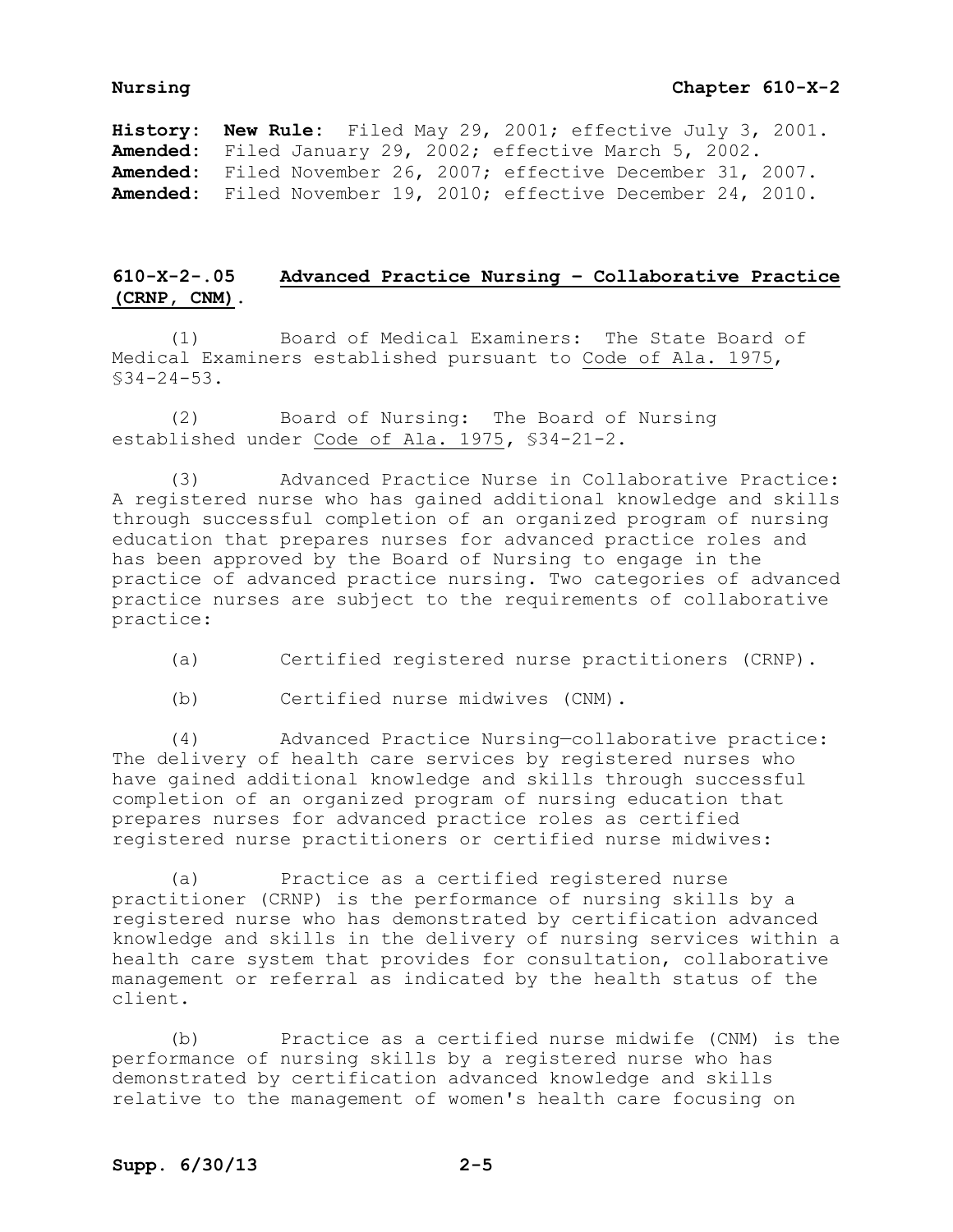## **Nursing Chapter 610-X-2**

**History: New Rule:** Filed May 29, 2001; effective July 3, 2001. **Amended:** Filed January 29, 2002; effective March 5, 2002. **Amended:** Filed November 26, 2007; effective December 31, 2007. **Amended:** Filed November 19, 2010; effective December 24, 2010.

# **610-X-2-.05 Advanced Practice Nursing – Collaborative Practice (CRNP, CNM).**

(1) Board of Medical Examiners: The State Board of Medical Examiners established pursuant to Code of Ala. 1975, §34-24-53.

(2) Board of Nursing: The Board of Nursing established under Code of Ala. 1975**,** §34-21-2.

(3) Advanced Practice Nurse in Collaborative Practice: A registered nurse who has gained additional knowledge and skills through successful completion of an organized program of nursing education that prepares nurses for advanced practice roles and has been approved by the Board of Nursing to engage in the practice of advanced practice nursing. Two categories of advanced practice nurses are subject to the requirements of collaborative practice:

(a) Certified registered nurse practitioners (CRNP).

(b) Certified nurse midwives (CNM).

(4) Advanced Practice Nursing—collaborative practice: The delivery of health care services by registered nurses who have gained additional knowledge and skills through successful completion of an organized program of nursing education that prepares nurses for advanced practice roles as certified registered nurse practitioners or certified nurse midwives:

(a) Practice as a certified registered nurse practitioner (CRNP) is the performance of nursing skills by a registered nurse who has demonstrated by certification advanced knowledge and skills in the delivery of nursing services within a health care system that provides for consultation, collaborative management or referral as indicated by the health status of the client.

(b) Practice as a certified nurse midwife (CNM) is the performance of nursing skills by a registered nurse who has demonstrated by certification advanced knowledge and skills relative to the management of women's health care focusing on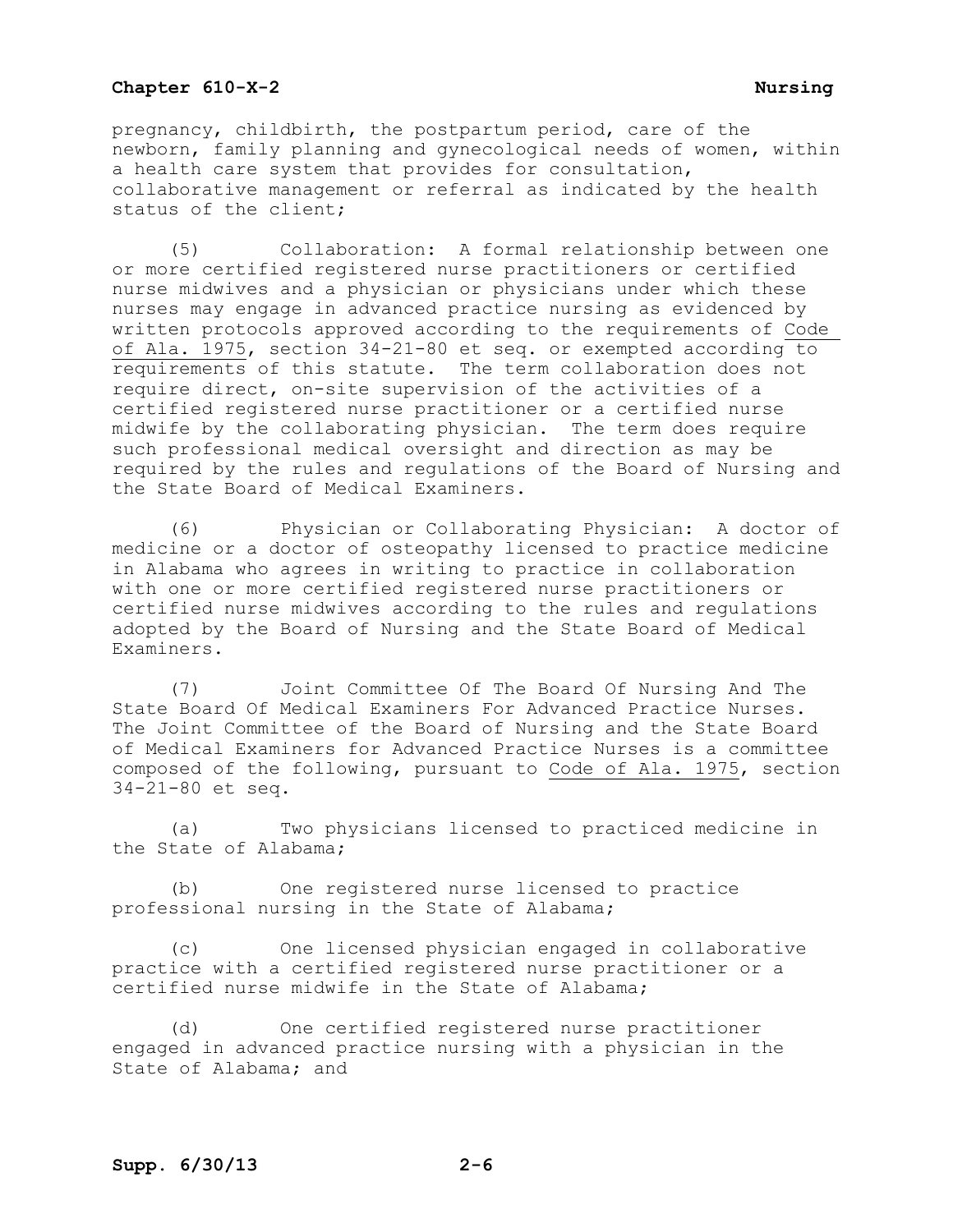pregnancy, childbirth, the postpartum period, care of the newborn, family planning and gynecological needs of women, within a health care system that provides for consultation, collaborative management or referral as indicated by the health status of the client;

(5) Collaboration: A formal relationship between one or more certified registered nurse practitioners or certified nurse midwives and a physician or physicians under which these nurses may engage in advanced practice nursing as evidenced by written protocols approved according to the requirements of Code of Ala. 1975, section 34-21-80 et seq. or exempted according to requirements of this statute. The term collaboration does not require direct, on-site supervision of the activities of a certified registered nurse practitioner or a certified nurse midwife by the collaborating physician. The term does require such professional medical oversight and direction as may be required by the rules and regulations of the Board of Nursing and the State Board of Medical Examiners.

(6) Physician or Collaborating Physician: A doctor of medicine or a doctor of osteopathy licensed to practice medicine in Alabama who agrees in writing to practice in collaboration with one or more certified registered nurse practitioners or certified nurse midwives according to the rules and regulations adopted by the Board of Nursing and the State Board of Medical Examiners.

(7) Joint Committee Of The Board Of Nursing And The State Board Of Medical Examiners For Advanced Practice Nurses. The Joint Committee of the Board of Nursing and the State Board of Medical Examiners for Advanced Practice Nurses is a committee composed of the following, pursuant to Code of Ala. 1975, section 34-21-80 et seq.

(a) Two physicians licensed to practiced medicine in the State of Alabama;

(b) One registered nurse licensed to practice professional nursing in the State of Alabama;

(c) One licensed physician engaged in collaborative practice with a certified registered nurse practitioner or a certified nurse midwife in the State of Alabama;

(d) One certified registered nurse practitioner engaged in advanced practice nursing with a physician in the State of Alabama; and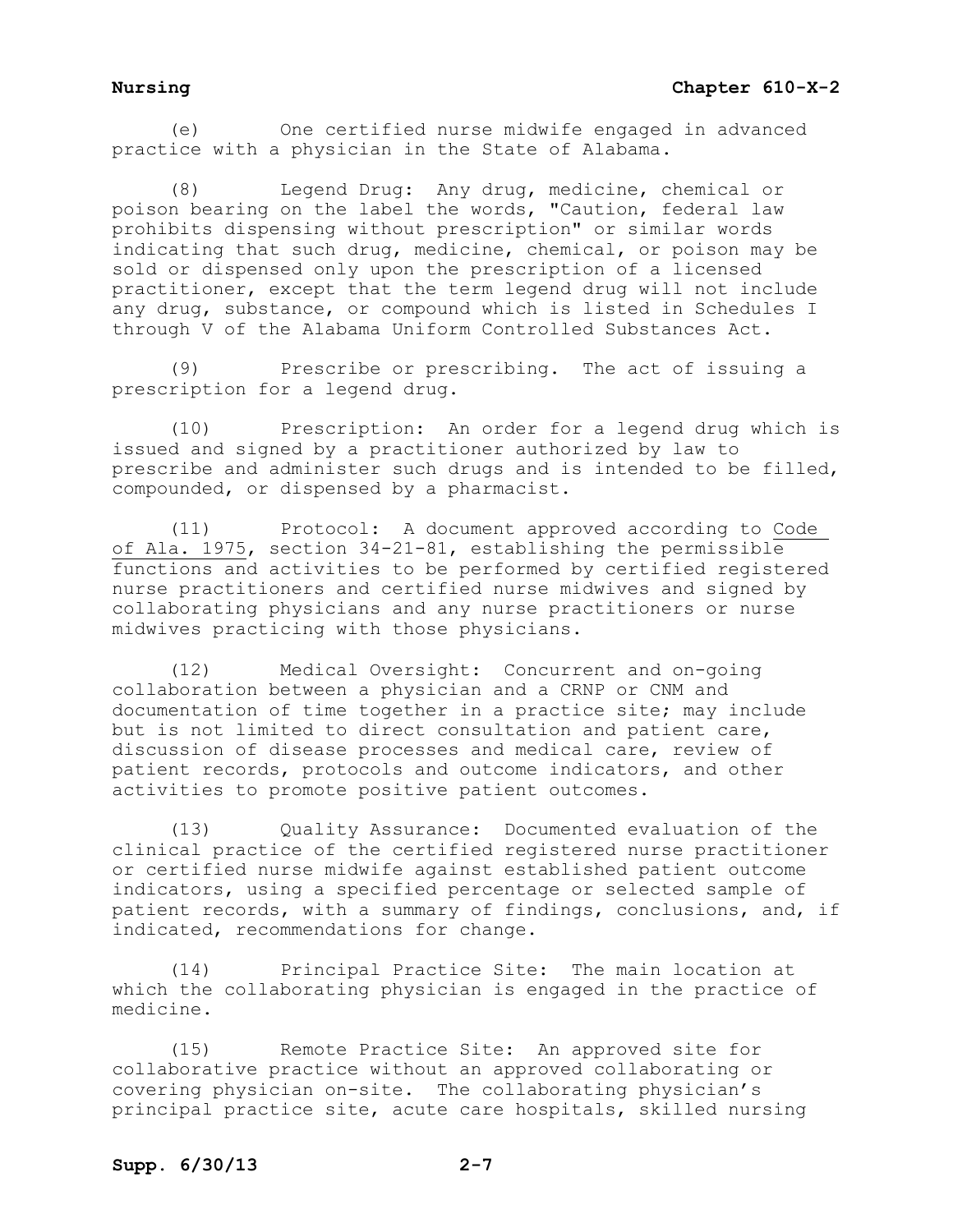(e) One certified nurse midwife engaged in advanced practice with a physician in the State of Alabama.

(8) Legend Drug: Any drug, medicine, chemical or poison bearing on the label the words, "Caution, federal law prohibits dispensing without prescription" or similar words indicating that such drug, medicine, chemical, or poison may be sold or dispensed only upon the prescription of a licensed practitioner, except that the term legend drug will not include any drug, substance, or compound which is listed in Schedules I through V of the Alabama Uniform Controlled Substances Act.

(9) Prescribe or prescribing. The act of issuing a prescription for a legend drug.

(10) Prescription: An order for a legend drug which is issued and signed by a practitioner authorized by law to prescribe and administer such drugs and is intended to be filled, compounded, or dispensed by a pharmacist.

(11) Protocol: A document approved according to Code of Ala. 1975, section 34-21-81, establishing the permissible functions and activities to be performed by certified registered nurse practitioners and certified nurse midwives and signed by collaborating physicians and any nurse practitioners or nurse midwives practicing with those physicians.

(12) Medical Oversight: Concurrent and on-going collaboration between a physician and a CRNP or CNM and documentation of time together in a practice site; may include but is not limited to direct consultation and patient care, discussion of disease processes and medical care, review of patient records, protocols and outcome indicators, and other activities to promote positive patient outcomes.

(13) Quality Assurance: Documented evaluation of the clinical practice of the certified registered nurse practitioner or certified nurse midwife against established patient outcome indicators, using a specified percentage or selected sample of patient records, with a summary of findings, conclusions, and, if indicated, recommendations for change.

(14) Principal Practice Site: The main location at which the collaborating physician is engaged in the practice of medicine.

(15) Remote Practice Site: An approved site for collaborative practice without an approved collaborating or covering physician on-site. The collaborating physician's principal practice site, acute care hospitals, skilled nursing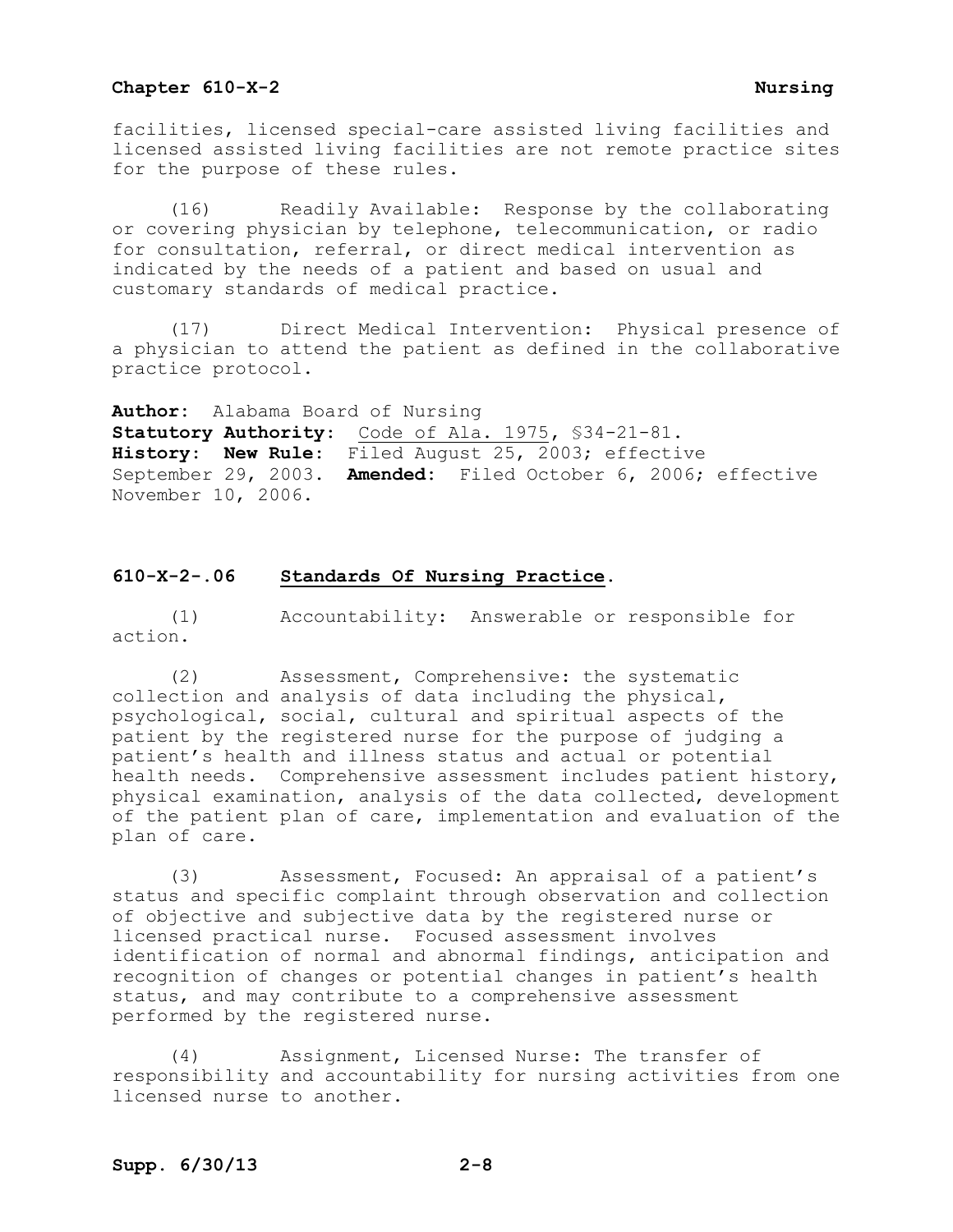facilities, licensed special-care assisted living facilities and licensed assisted living facilities are not remote practice sites for the purpose of these rules.

(16) Readily Available: Response by the collaborating or covering physician by telephone, telecommunication, or radio for consultation, referral, or direct medical intervention as indicated by the needs of a patient and based on usual and customary standards of medical practice.

(17) Direct Medical Intervention: Physical presence of a physician to attend the patient as defined in the collaborative practice protocol.

**Author:** Alabama Board of Nursing **Statutory Authority**: Code of Ala. 1975**,** §34-21-81. **History**: **New Rule**: Filed August 25, 2003; effective September 29, 2003. **Amended:** Filed October 6, 2006; effective November 10, 2006.

## **610-X-2-.06 Standards Of Nursing Practice.**

(1) Accountability: Answerable or responsible for action.

(2) Assessment, Comprehensive: the systematic collection and analysis of data including the physical, psychological, social, cultural and spiritual aspects of the patient by the registered nurse for the purpose of judging a patient's health and illness status and actual or potential health needs. Comprehensive assessment includes patient history, physical examination, analysis of the data collected, development of the patient plan of care, implementation and evaluation of the plan of care.

(3) Assessment, Focused: An appraisal of a patient's status and specific complaint through observation and collection of objective and subjective data by the registered nurse or licensed practical nurse. Focused assessment involves identification of normal and abnormal findings, anticipation and recognition of changes or potential changes in patient's health status, and may contribute to a comprehensive assessment performed by the registered nurse.

(4) Assignment, Licensed Nurse: The transfer of responsibility and accountability for nursing activities from one licensed nurse to another.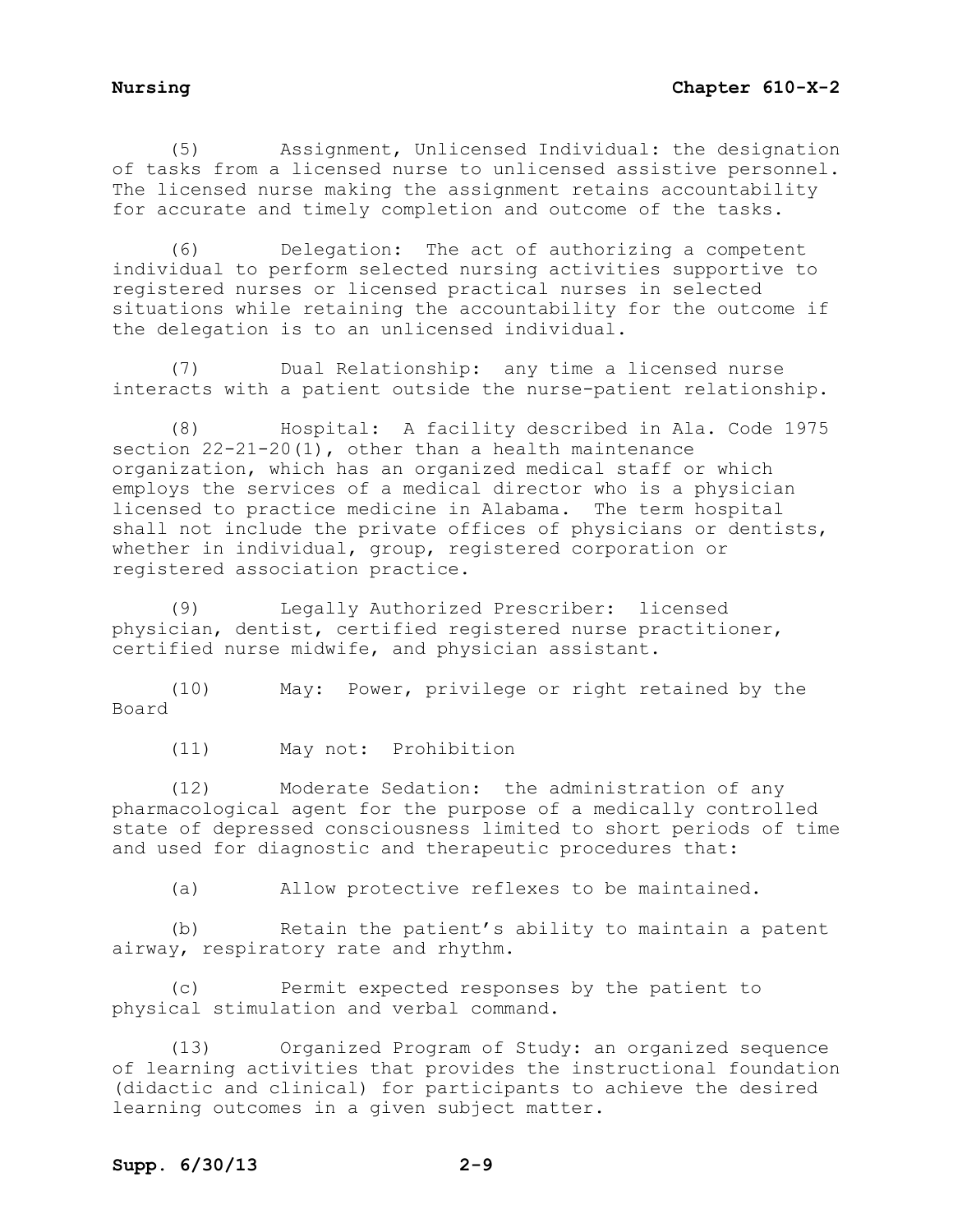(5) Assignment, Unlicensed Individual: the designation of tasks from a licensed nurse to unlicensed assistive personnel. The licensed nurse making the assignment retains accountability for accurate and timely completion and outcome of the tasks.

(6) Delegation: The act of authorizing a competent individual to perform selected nursing activities supportive to registered nurses or licensed practical nurses in selected situations while retaining the accountability for the outcome if the delegation is to an unlicensed individual.

(7) Dual Relationship: any time a licensed nurse interacts with a patient outside the nurse-patient relationship.

(8) Hospital: A facility described in Ala. Code 1975 section  $22-21-20(1)$ , other than a health maintenance organization, which has an organized medical staff or which employs the services of a medical director who is a physician licensed to practice medicine in Alabama. The term hospital shall not include the private offices of physicians or dentists, whether in individual, group, registered corporation or registered association practice.

(9) Legally Authorized Prescriber: licensed physician, dentist, certified registered nurse practitioner, certified nurse midwife, and physician assistant.

(10) May: Power, privilege or right retained by the Board

(11) May not: Prohibition

(12) Moderate Sedation: the administration of any pharmacological agent for the purpose of a medically controlled state of depressed consciousness limited to short periods of time and used for diagnostic and therapeutic procedures that:

(a) Allow protective reflexes to be maintained.

(b) Retain the patient's ability to maintain a patent airway, respiratory rate and rhythm.

(c) Permit expected responses by the patient to physical stimulation and verbal command.

(13) Organized Program of Study: an organized sequence of learning activities that provides the instructional foundation (didactic and clinical) for participants to achieve the desired learning outcomes in a given subject matter.

## **Supp. 6/30/13 2-9**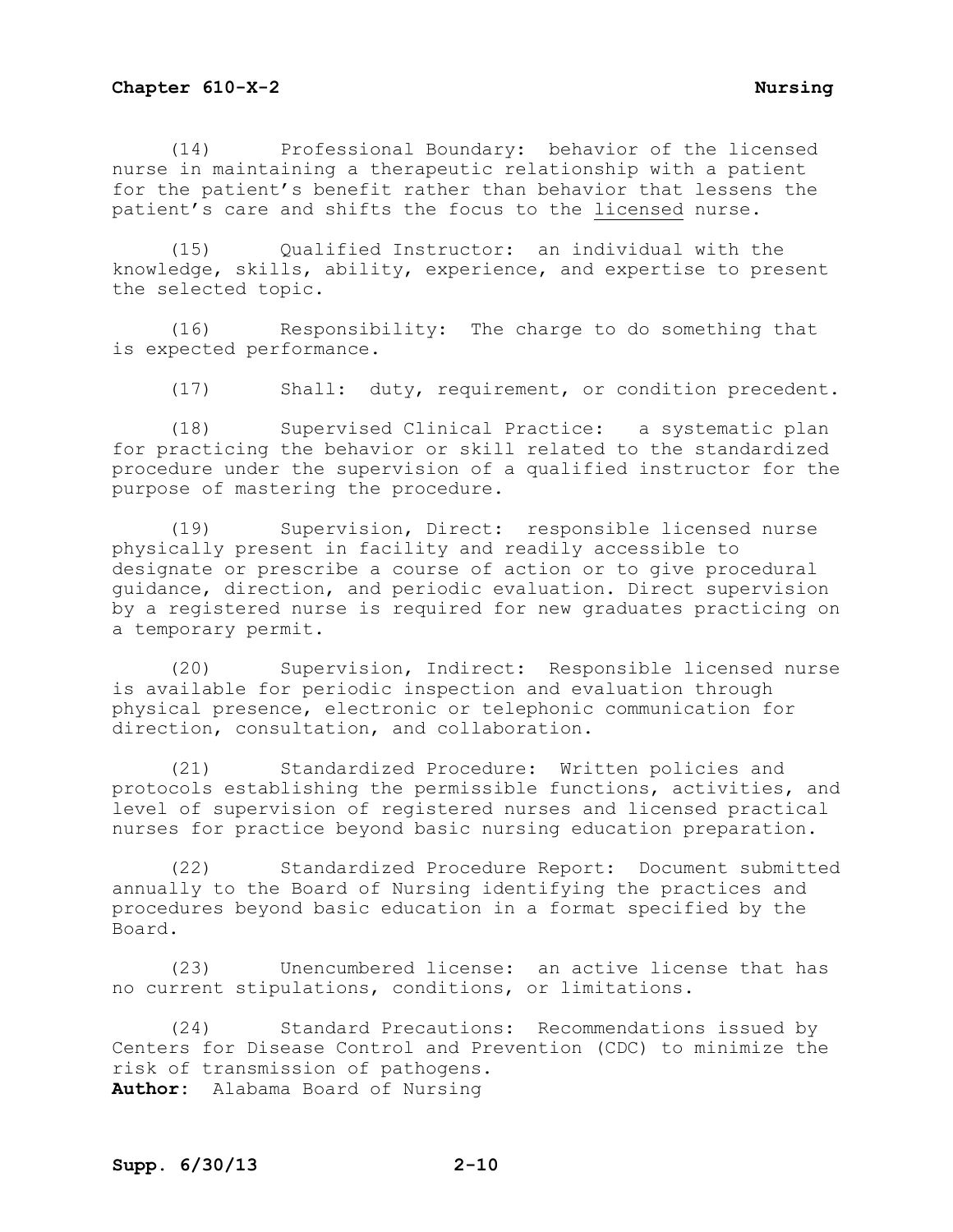(14) Professional Boundary: behavior of the licensed nurse in maintaining a therapeutic relationship with a patient for the patient's benefit rather than behavior that lessens the patient's care and shifts the focus to the licensed nurse.

(15) Qualified Instructor: an individual with the knowledge, skills, ability, experience, and expertise to present the selected topic.

(16) Responsibility: The charge to do something that is expected performance.

(17) Shall: duty, requirement, or condition precedent.

(18) Supervised Clinical Practice: a systematic plan for practicing the behavior or skill related to the standardized procedure under the supervision of a qualified instructor for the purpose of mastering the procedure.

(19) Supervision, Direct: responsible licensed nurse physically present in facility and readily accessible to designate or prescribe a course of action or to give procedural guidance, direction, and periodic evaluation. Direct supervision by a registered nurse is required for new graduates practicing on a temporary permit.

(20) Supervision, Indirect: Responsible licensed nurse is available for periodic inspection and evaluation through physical presence, electronic or telephonic communication for direction, consultation, and collaboration.

(21) Standardized Procedure: Written policies and protocols establishing the permissible functions, activities, and level of supervision of registered nurses and licensed practical nurses for practice beyond basic nursing education preparation.

(22) Standardized Procedure Report: Document submitted annually to the Board of Nursing identifying the practices and procedures beyond basic education in a format specified by the Board.

(23) Unencumbered license: an active license that has no current stipulations, conditions, or limitations.

(24) Standard Precautions: Recommendations issued by Centers for Disease Control and Prevention (CDC) to minimize the risk of transmission of pathogens. **Author:** Alabama Board of Nursing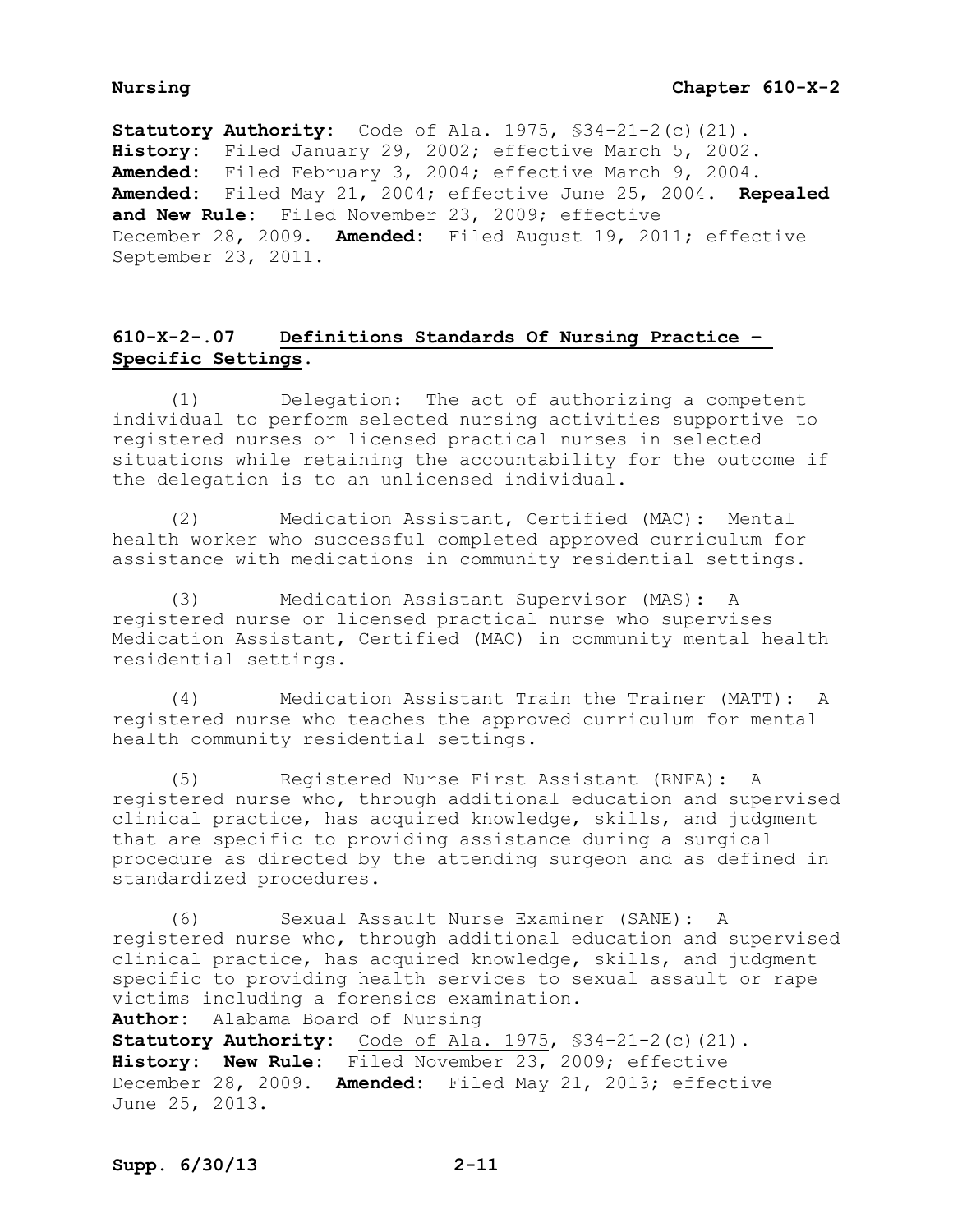**Statutory Authority:** Code of Ala. 1975, §34-21-2(c)(21). **History:** Filed January 29, 2002; effective March 5, 2002. **Amended:** Filed February 3, 2004; effective March 9, 2004. **Amended:** Filed May 21, 2004; effective June 25, 2004. **Repealed and New Rule:** Filed November 23, 2009; effective December 28, 2009. **Amended:** Filed August 19, 2011; effective September 23, 2011.

# **610-X-2-.07 Definitions Standards Of Nursing Practice – Specific Settings.**

(1) Delegation: The act of authorizing a competent individual to perform selected nursing activities supportive to registered nurses or licensed practical nurses in selected situations while retaining the accountability for the outcome if the delegation is to an unlicensed individual.

(2) Medication Assistant, Certified (MAC): Mental health worker who successful completed approved curriculum for assistance with medications in community residential settings.

(3) Medication Assistant Supervisor (MAS): A registered nurse or licensed practical nurse who supervises Medication Assistant, Certified (MAC) in community mental health residential settings.

(4) Medication Assistant Train the Trainer (MATT): A registered nurse who teaches the approved curriculum for mental health community residential settings.

(5) Registered Nurse First Assistant (RNFA): A registered nurse who, through additional education and supervised clinical practice, has acquired knowledge, skills, and judgment that are specific to providing assistance during a surgical procedure as directed by the attending surgeon and as defined in standardized procedures.

(6) Sexual Assault Nurse Examiner (SANE): A registered nurse who, through additional education and supervised clinical practice, has acquired knowledge, skills, and judgment specific to providing health services to sexual assault or rape victims including a forensics examination.

**Author:** Alabama Board of Nursing

**Statutory Authority:** Code of Ala. 1975, §34-21-2(c)(21). **History: New Rule:** Filed November 23, 2009; effective December 28, 2009. **Amended:** Filed May 21, 2013; effective June 25, 2013.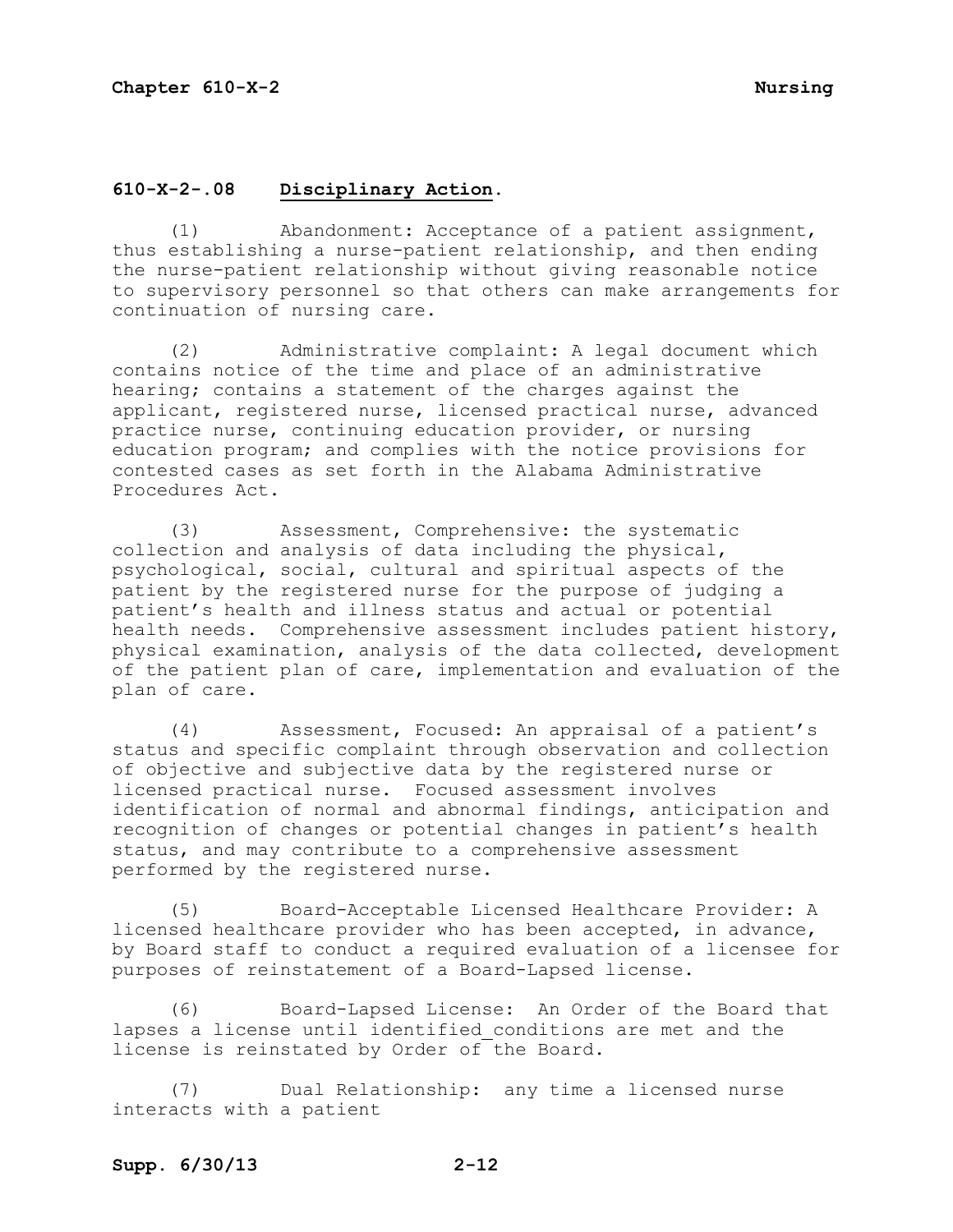## **610-X-2-.08 Disciplinary Action.**

(1) Abandonment: Acceptance of a patient assignment, thus establishing a nurse-patient relationship, and then ending the nurse-patient relationship without giving reasonable notice to supervisory personnel so that others can make arrangements for continuation of nursing care.

(2) Administrative complaint: A legal document which contains notice of the time and place of an administrative hearing; contains a statement of the charges against the applicant, registered nurse, licensed practical nurse, advanced practice nurse, continuing education provider, or nursing education program; and complies with the notice provisions for contested cases as set forth in the Alabama Administrative Procedures Act.

(3) Assessment, Comprehensive: the systematic collection and analysis of data including the physical, psychological, social, cultural and spiritual aspects of the patient by the registered nurse for the purpose of judging a patient's health and illness status and actual or potential health needs. Comprehensive assessment includes patient history, physical examination, analysis of the data collected, development of the patient plan of care, implementation and evaluation of the plan of care.

(4) Assessment, Focused: An appraisal of a patient's status and specific complaint through observation and collection of objective and subjective data by the registered nurse or licensed practical nurse. Focused assessment involves identification of normal and abnormal findings, anticipation and recognition of changes or potential changes in patient's health status, and may contribute to a comprehensive assessment performed by the registered nurse.

(5) Board-Acceptable Licensed Healthcare Provider: A licensed healthcare provider who has been accepted, in advance, by Board staff to conduct a required evaluation of a licensee for purposes of reinstatement of a Board-Lapsed license.

(6) Board-Lapsed License: An Order of the Board that lapses a license until identified conditions are met and the license is reinstated by Order of the Board.

(7) Dual Relationship: any time a licensed nurse interacts with a patient

## **Supp. 6/30/13 2-12**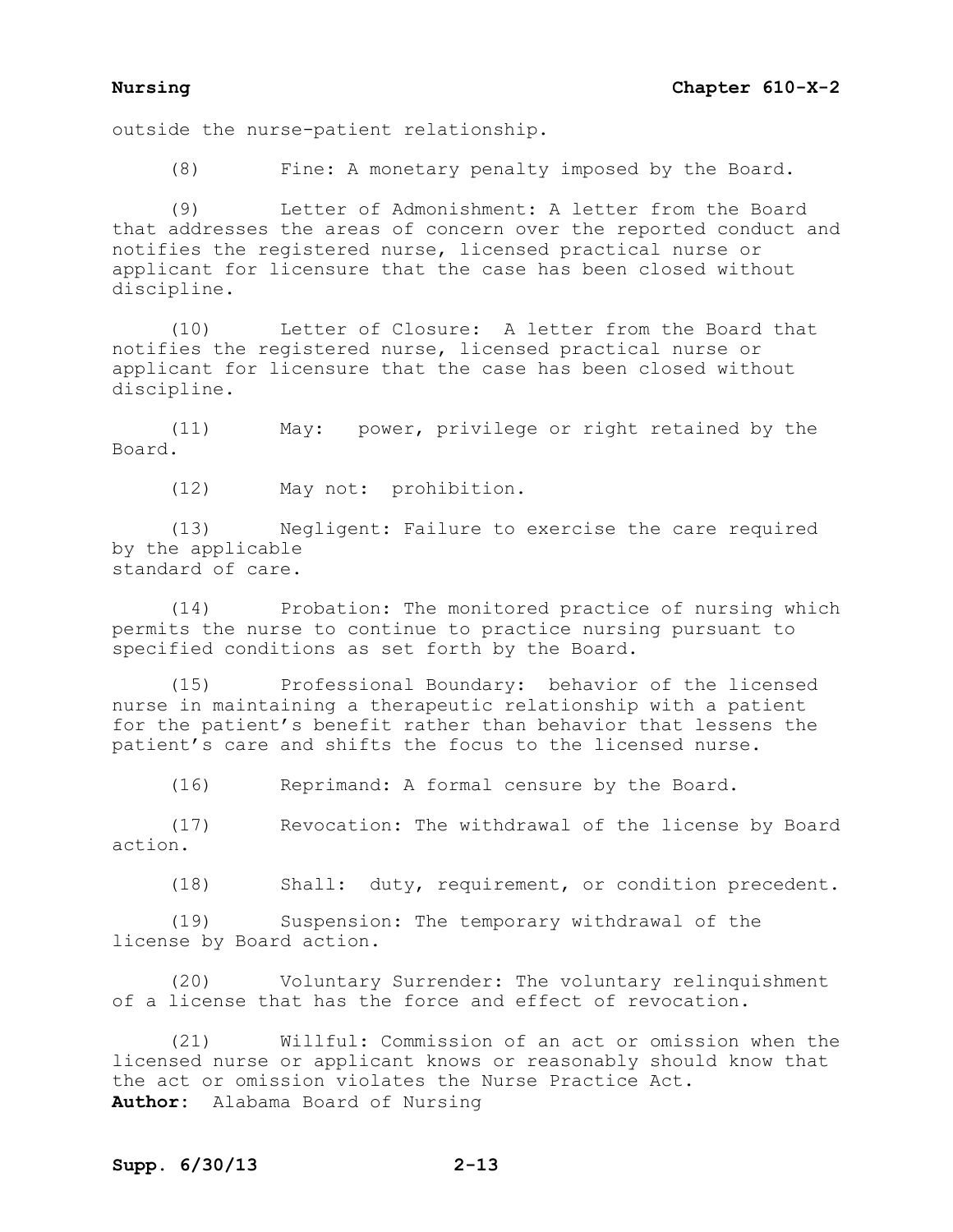### **Nursing Chapter 610-X-2**

outside the nurse-patient relationship.

(8) Fine: A monetary penalty imposed by the Board.

(9) Letter of Admonishment: A letter from the Board that addresses the areas of concern over the reported conduct and notifies the registered nurse, licensed practical nurse or applicant for licensure that the case has been closed without discipline.

(10) Letter of Closure: A letter from the Board that notifies the registered nurse, licensed practical nurse or applicant for licensure that the case has been closed without discipline.

(11) May: power, privilege or right retained by the Board.

(12) May not: prohibition.

(13) Negligent: Failure to exercise the care required by the applicable standard of care.

(14) Probation: The monitored practice of nursing which permits the nurse to continue to practice nursing pursuant to specified conditions as set forth by the Board.

(15) Professional Boundary: behavior of the licensed nurse in maintaining a therapeutic relationship with a patient for the patient's benefit rather than behavior that lessens the patient's care and shifts the focus to the licensed nurse.

(16) Reprimand: A formal censure by the Board.

(17) Revocation: The withdrawal of the license by Board action.

(18) Shall: duty, requirement, or condition precedent.

(19) Suspension: The temporary withdrawal of the license by Board action.

(20) Voluntary Surrender: The voluntary relinquishment of a license that has the force and effect of revocation.

(21) Willful: Commission of an act or omission when the licensed nurse or applicant knows or reasonably should know that the act or omission violates the Nurse Practice Act. **Author:** Alabama Board of Nursing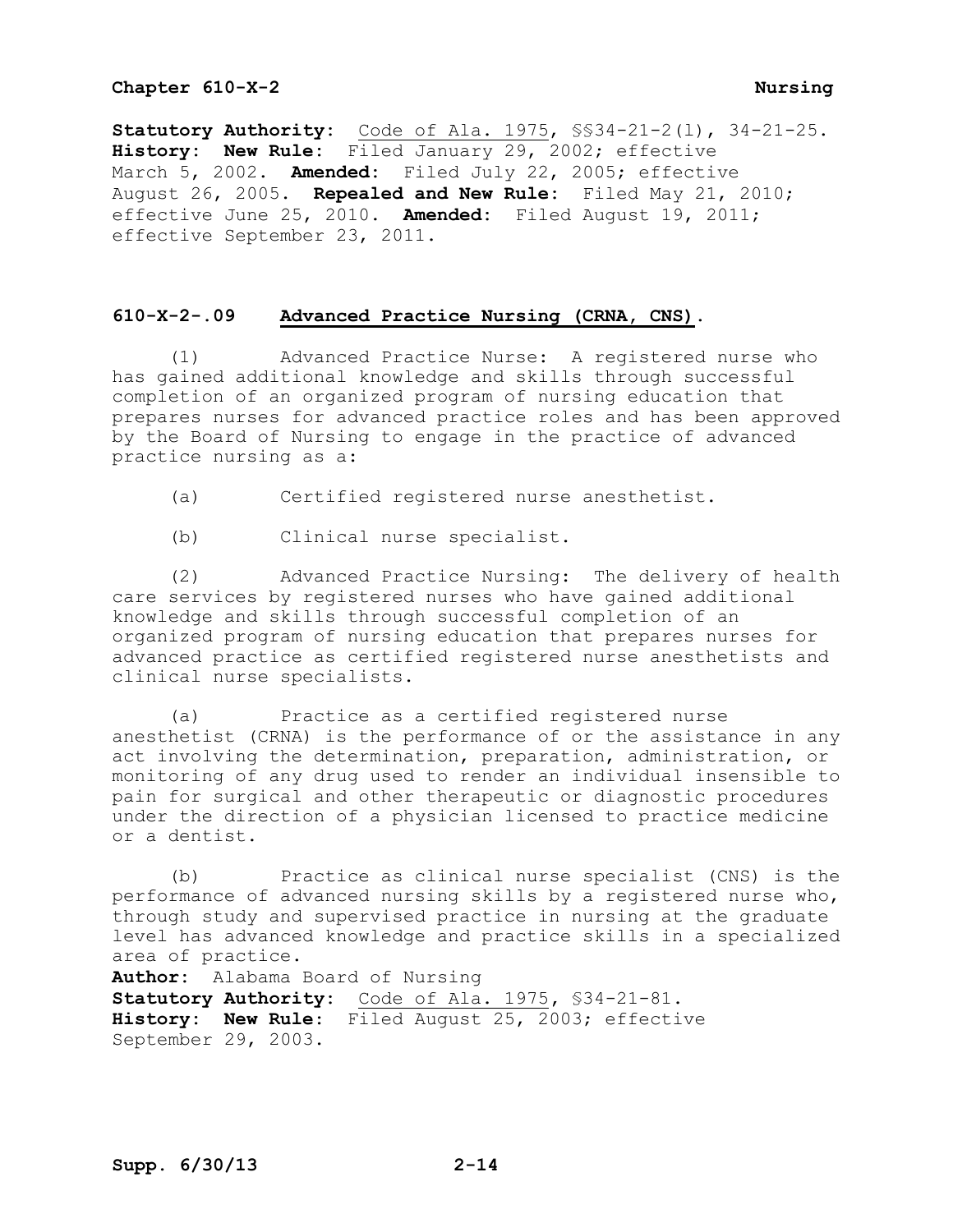**Statutory Authority:** Code of Ala. 1975, §§34-21-2(l), 34-21-25. **History: New Rule:** Filed January 29, 2002; effective March 5, 2002. **Amended:** Filed July 22, 2005; effective August 26, 2005. **Repealed and New Rule:** Filed May 21, 2010; effective June 25, 2010. **Amended:** Filed August 19, 2011; effective September 23, 2011.

## **610-X-2-.09 Advanced Practice Nursing (CRNA, CNS).**

(1) Advanced Practice Nurse: A registered nurse who has gained additional knowledge and skills through successful completion of an organized program of nursing education that prepares nurses for advanced practice roles and has been approved by the Board of Nursing to engage in the practice of advanced practice nursing as a:

- (a) Certified registered nurse anesthetist.
- (b) Clinical nurse specialist.

(2) Advanced Practice Nursing: The delivery of health care services by registered nurses who have gained additional knowledge and skills through successful completion of an organized program of nursing education that prepares nurses for advanced practice as certified registered nurse anesthetists and clinical nurse specialists.

(a) Practice as a certified registered nurse anesthetist (CRNA) is the performance of or the assistance in any act involving the determination, preparation, administration, or monitoring of any drug used to render an individual insensible to pain for surgical and other therapeutic or diagnostic procedures under the direction of a physician licensed to practice medicine or a dentist.

(b) Practice as clinical nurse specialist (CNS) is the performance of advanced nursing skills by a registered nurse who, through study and supervised practice in nursing at the graduate level has advanced knowledge and practice skills in a specialized area of practice.

**Author:** Alabama Board of Nursing **Statutory Authority:** Code of Ala. 1975**,** §34-21-81. **History: New Rule**: Filed August 25, 2003; effective September 29, 2003.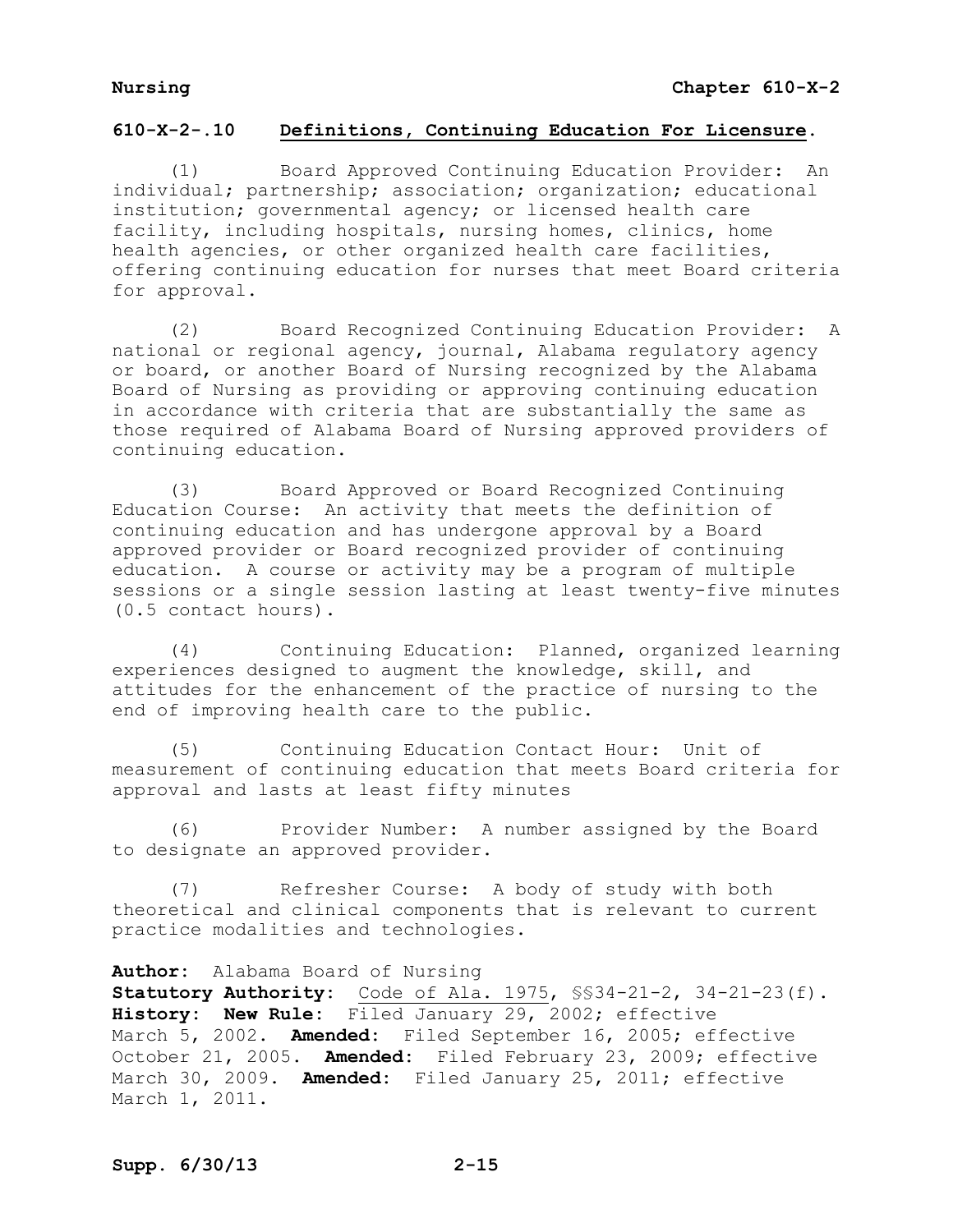# **610-X-2-.10 Definitions, Continuing Education For Licensure.**

(1) Board Approved Continuing Education Provider: An individual; partnership; association; organization; educational institution; governmental agency; or licensed health care facility, including hospitals, nursing homes, clinics, home health agencies, or other organized health care facilities, offering continuing education for nurses that meet Board criteria for approval.

(2) Board Recognized Continuing Education Provider: A national or regional agency, journal, Alabama regulatory agency or board, or another Board of Nursing recognized by the Alabama Board of Nursing as providing or approving continuing education in accordance with criteria that are substantially the same as those required of Alabama Board of Nursing approved providers of continuing education.

(3) Board Approved or Board Recognized Continuing Education Course: An activity that meets the definition of continuing education and has undergone approval by a Board approved provider or Board recognized provider of continuing education. A course or activity may be a program of multiple sessions or a single session lasting at least twenty-five minutes (0.5 contact hours).

(4) Continuing Education: Planned, organized learning experiences designed to augment the knowledge, skill, and attitudes for the enhancement of the practice of nursing to the end of improving health care to the public.

(5) Continuing Education Contact Hour: Unit of measurement of continuing education that meets Board criteria for approval and lasts at least fifty minutes

(6) Provider Number: A number assigned by the Board to designate an approved provider.

(7) Refresher Course: A body of study with both theoretical and clinical components that is relevant to current practice modalities and technologies.

**Author:** Alabama Board of Nursing

**Statutory Authority:** Code of Ala. 1975, §§34-21-2, 34-21-23(f). **History: New Rule:** Filed January 29, 2002; effective March 5, 2002. **Amended:** Filed September 16, 2005; effective October 21, 2005. **Amended:** Filed February 23, 2009; effective March 30, 2009. **Amended:** Filed January 25, 2011; effective March 1, 2011.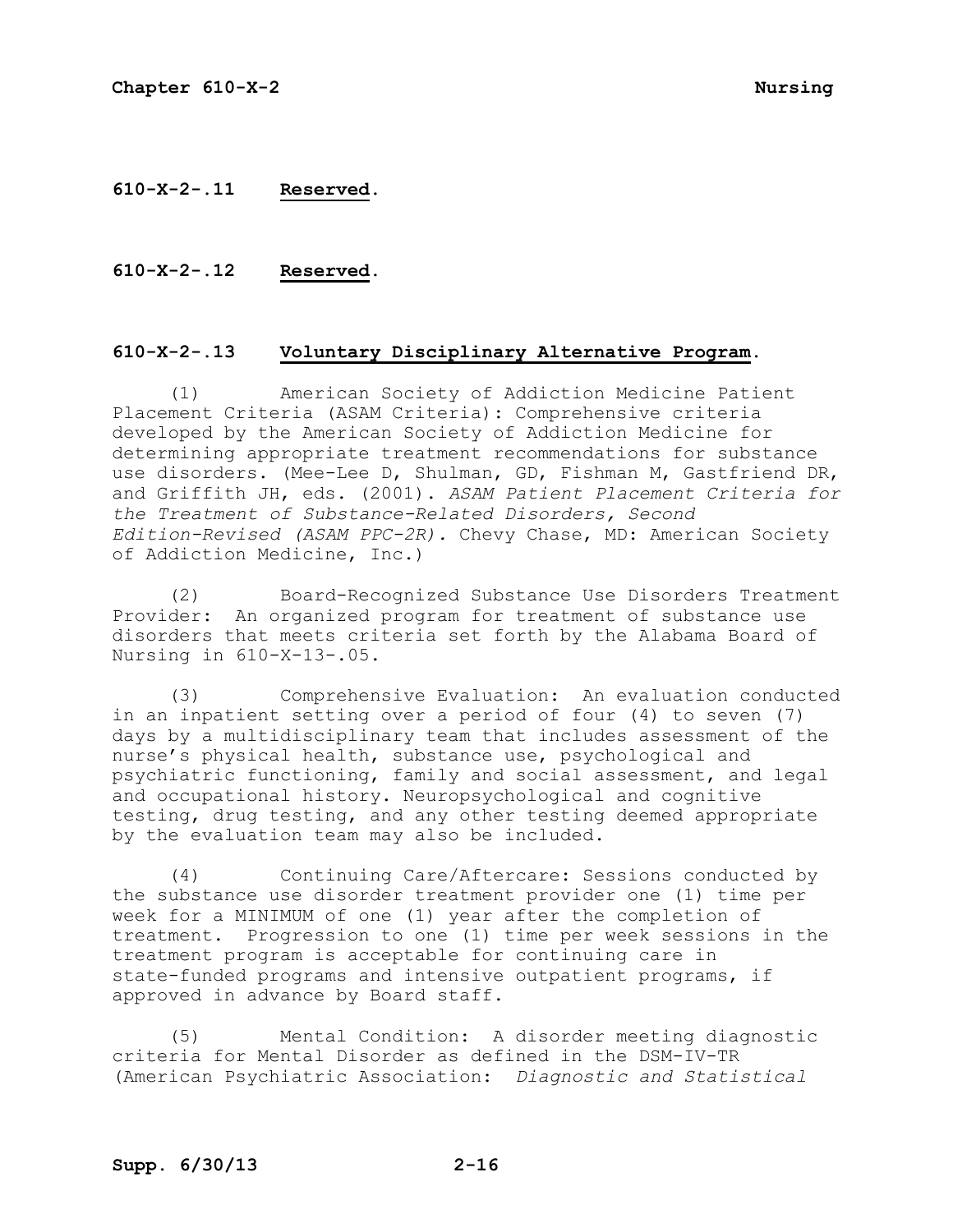## **610-X-2-.11 Reserved.**

### **610-X-2-.12 Reserved.**

### **610-X-2-.13 Voluntary Disciplinary Alternative Program.**

(1) American Society of Addiction Medicine Patient Placement Criteria (ASAM Criteria): Comprehensive criteria developed by the American Society of Addiction Medicine for determining appropriate treatment recommendations for substance use disorders. (Mee-Lee D, Shulman, GD, Fishman M, Gastfriend DR, and Griffith JH, eds. (2001). *ASAM Patient Placement Criteria for the Treatment of Substance-Related Disorders, Second Edition-Revised (ASAM PPC-2R).* Chevy Chase, MD: American Society of Addiction Medicine, Inc.)

(2) Board-Recognized Substance Use Disorders Treatment Provider: An organized program for treatment of substance use disorders that meets criteria set forth by the Alabama Board of Nursing in 610-X-13-.05.

(3) Comprehensive Evaluation: An evaluation conducted in an inpatient setting over a period of four (4) to seven (7) days by a multidisciplinary team that includes assessment of the nurse's physical health, substance use, psychological and psychiatric functioning, family and social assessment, and legal and occupational history. Neuropsychological and cognitive testing, drug testing, and any other testing deemed appropriate by the evaluation team may also be included.

(4) Continuing Care/Aftercare: Sessions conducted by the substance use disorder treatment provider one (1) time per week for a MINIMUM of one (1) year after the completion of treatment. Progression to one (1) time per week sessions in the treatment program is acceptable for continuing care in state-funded programs and intensive outpatient programs, if approved in advance by Board staff.

(5) Mental Condition: A disorder meeting diagnostic criteria for Mental Disorder as defined in the DSM-IV-TR (American Psychiatric Association: *Diagnostic and Statistical*